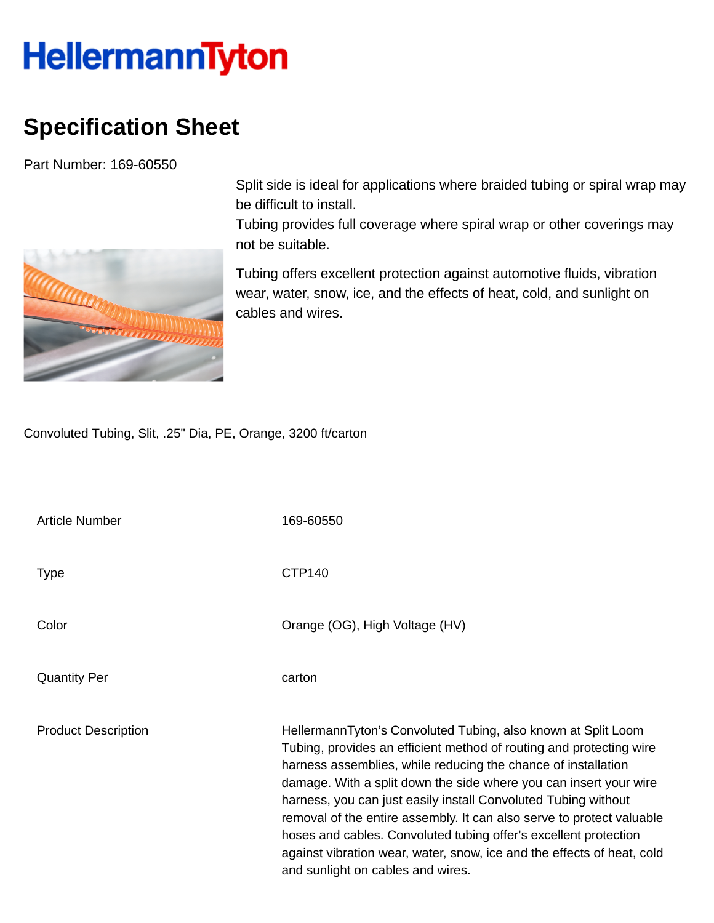## **HellermannTyton**

## **Specification Sheet**

Part Number: 169-60550



Split side is ideal for applications where braided tubing or spiral wrap may be difficult to install.

Tubing provides full coverage where spiral wrap or other coverings may not be suitable.

Tubing offers excellent protection against automotive fluids, vibration wear, water, snow, ice, and the effects of heat, cold, and sunlight on cables and wires.

Convoluted Tubing, Slit, .25" Dia, PE, Orange, 3200 ft/carton

| <b>Article Number</b>      | 169-60550                                                                                                                                                                                                                                                                                                                                                                                                                                                                                                                                                                                                |
|----------------------------|----------------------------------------------------------------------------------------------------------------------------------------------------------------------------------------------------------------------------------------------------------------------------------------------------------------------------------------------------------------------------------------------------------------------------------------------------------------------------------------------------------------------------------------------------------------------------------------------------------|
| <b>Type</b>                | <b>CTP140</b>                                                                                                                                                                                                                                                                                                                                                                                                                                                                                                                                                                                            |
| Color                      | Orange (OG), High Voltage (HV)                                                                                                                                                                                                                                                                                                                                                                                                                                                                                                                                                                           |
| <b>Quantity Per</b>        | carton                                                                                                                                                                                                                                                                                                                                                                                                                                                                                                                                                                                                   |
| <b>Product Description</b> | HellermannTyton's Convoluted Tubing, also known at Split Loom<br>Tubing, provides an efficient method of routing and protecting wire<br>harness assemblies, while reducing the chance of installation<br>damage. With a split down the side where you can insert your wire<br>harness, you can just easily install Convoluted Tubing without<br>removal of the entire assembly. It can also serve to protect valuable<br>hoses and cables. Convoluted tubing offer's excellent protection<br>against vibration wear, water, snow, ice and the effects of heat, cold<br>and sunlight on cables and wires. |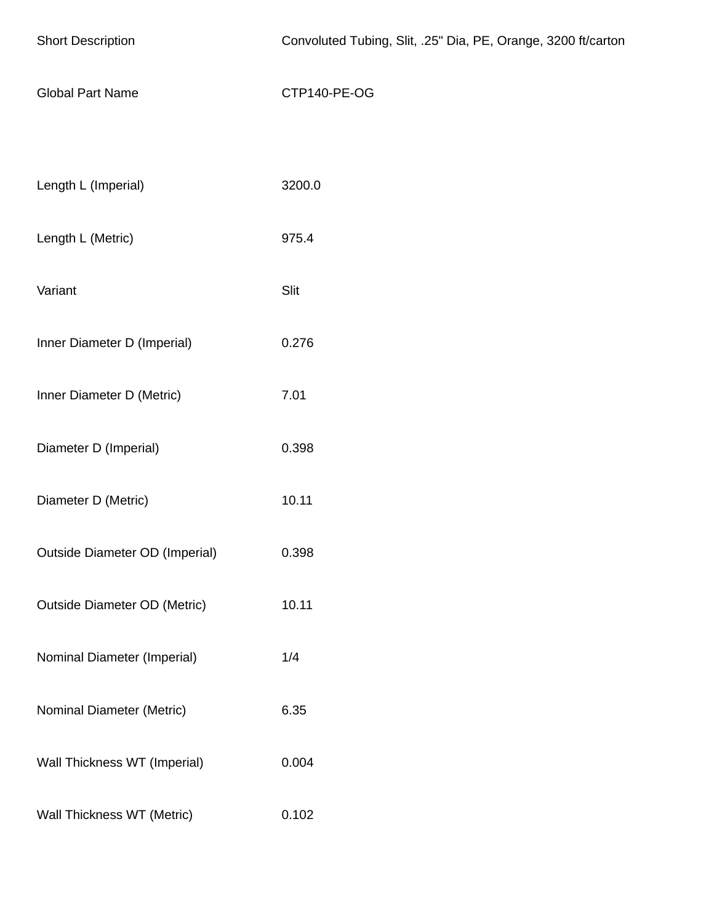| <b>Short Description</b>              | Convoluted Tubing, Slit, .25" Dia, PE, Orange, 3200 ft/carton |
|---------------------------------------|---------------------------------------------------------------|
| <b>Global Part Name</b>               | CTP140-PE-OG                                                  |
|                                       |                                                               |
| Length L (Imperial)                   | 3200.0                                                        |
| Length L (Metric)                     | 975.4                                                         |
| Variant                               | Slit                                                          |
| Inner Diameter D (Imperial)           | 0.276                                                         |
| Inner Diameter D (Metric)             | 7.01                                                          |
| Diameter D (Imperial)                 | 0.398                                                         |
| Diameter D (Metric)                   | 10.11                                                         |
| <b>Outside Diameter OD (Imperial)</b> | 0.398                                                         |
| <b>Outside Diameter OD (Metric)</b>   | 10.11                                                         |
| Nominal Diameter (Imperial)           | 1/4                                                           |
| Nominal Diameter (Metric)             | 6.35                                                          |
| Wall Thickness WT (Imperial)          | 0.004                                                         |
| Wall Thickness WT (Metric)            | 0.102                                                         |